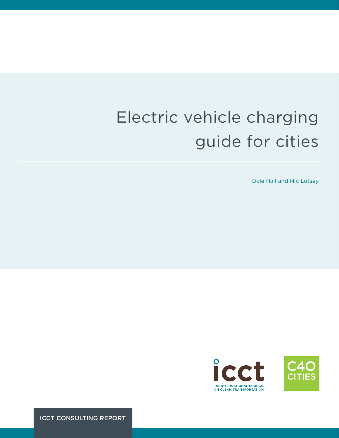# Electric vehicle charging guide for cities

Dale Hall and Nic Lutsey



ICCT CONSULTING REPORT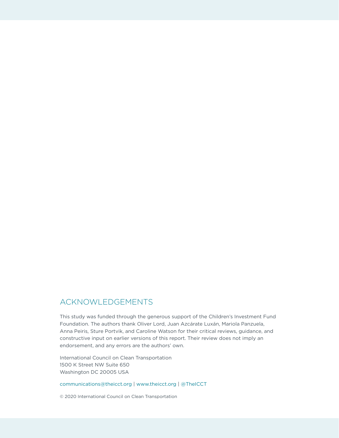# ACKNOWLEDGEMENTS

This study was funded through the generous support of the Children's Investment Fund Foundation. The authors thank Oliver Lord, Juan Azcárate Luxán, Mariola Panzuela, Anna Peiris, Sture Portvik, and Caroline Watson for their critical reviews, guidance, and constructive input on earlier versions of this report. Their review does not imply an endorsement, and any errors are the authors' own.

International Council on Clean Transportation 1500 K Street NW Suite 650 Washington DC 20005 USA

[communications@theicct.org](mailto:communications%40theicct.org?subject=) | [www.theicct.org](http://www.theicct.org) | [@TheICCT](https://twitter.com/TheICCT)

© 2020 International Council on Clean Transportation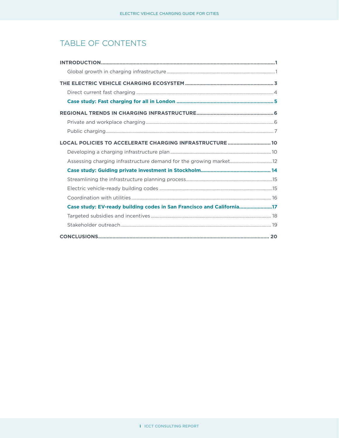# TABLE OF CONTENTS

| LOCAL POLICIES TO ACCELERATE CHARGING INFRASTRUCTURE  10              |  |
|-----------------------------------------------------------------------|--|
|                                                                       |  |
|                                                                       |  |
|                                                                       |  |
|                                                                       |  |
|                                                                       |  |
|                                                                       |  |
| Case study: EV-ready building codes in San Francisco and California17 |  |
|                                                                       |  |
|                                                                       |  |
|                                                                       |  |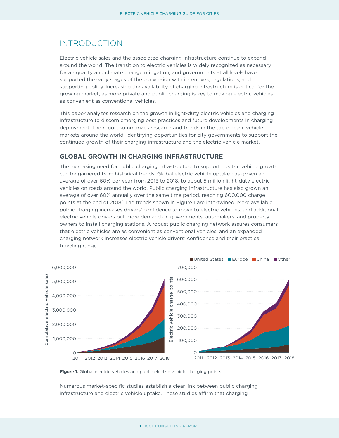## <span id="page-3-0"></span>INTRODUCTION

Electric vehicle sales and the associated charging infrastructure continue to expand around the world. The transition to electric vehicles is widely recognized as necessary for air quality and climate change mitigation, and governments at all levels have supported the early stages of the conversion with incentives, regulations, and supporting policy. Increasing the availability of charging infrastructure is critical for the growing market, as more private and public charging is key to making electric vehicles as convenient as conventional vehicles.

This paper analyzes research on the growth in light-duty electric vehicles and charging infrastructure to discern emerging best practices and future developments in charging deployment. The report summarizes research and trends in the top electric vehicle markets around the world, identifying opportunities for city governments to support the continued growth of their charging infrastructure and the electric vehicle market.

#### **GLOBAL GROWTH IN CHARGING INFRASTRUCTURE**

The increasing need for public charging infrastructure to support electric vehicle growth can be garnered from historical trends. Global electric vehicle uptake has grown an average of over 60% per year from 2013 to 2018, to about 5 million light-duty electric vehicles on roads around the world. Public charging infrastructure has also grown an average of over 60% annually over the same time period, reaching 600,000 charge points at the end of 2018.<sup>1</sup> The trends shown in Figure 1 are intertwined: More available public charging increases drivers' confidence to move to electric vehicles, and additional electric vehicle drivers put more demand on governments, automakers, and property owners to install charging stations. A robust public charging network assures consumers that electric vehicles are as convenient as conventional vehicles, and an expanded charging network increases electric vehicle drivers' confidence and their practical traveling range.



Figure 1. Global electric vehicles and public electric vehicle charging points.

Numerous market-specific studies establish a clear link between public charging infrastructure and electric vehicle uptake. These studies affirm that charging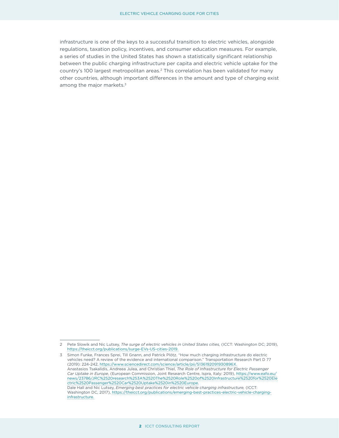infrastructure is one of the keys to a successful transition to electric vehicles, alongside regulations, taxation policy, incentives, and consumer education measures. For example, a series of studies in the United States has shown a statistically significant relationship between the public charging infrastructure per capita and electric vehicle uptake for the country's 100 largest metropolitan areas.<sup>2</sup> This correlation has been validated for many other countries, although important differences in the amount and type of charging exist among the major markets.<sup>3</sup>

<sup>2</sup> Pete Slowik and Nic Lutsey, *The surge of electric vehicles in United States cities,* (ICCT: Washington DC; 2019), [https://theicct.org/publications/surge-EVs-US-cities-2019.](https://theicct.org/publications/surge-EVs-US-cities-2019)

<sup>3</sup> Simon Funke, Frances Sprei, Till Gnann, and Patrick Plötz. "How much charging infrastructure do electric vehicles need? A review of the evidence and international comparison." Transportation Research Part D 77 (2019): 224-242, [https://www.sciencedirect.com/science/article/pii/S136192091930896X.](https://www.sciencedirect.com/science/article/pii/S136192091930896X) Anastasios Tsakalidis, Andreea Julea, and Christian Thiel, *The Role of Infrastructure for Electric Passenger Car Uptake in Europe*, (European Commission, Joint Research Centre, Ispra, Italy: 2019), [https://www.eafo.eu/](https://www.eafo.eu/news/23786/JRC%2520research%253A%2520The%2520Role%2520of%2520Infrastructure%2520for%2520Electric%2520Passenger%2520Car%2520Uptake%2520in%2520Europe) [news/23786/JRC%2520research%253A%2520The%2520Role%2520of%2520Infrastructure%2520for%2520Ele](https://www.eafo.eu/news/23786/JRC%2520research%253A%2520The%2520Role%2520of%2520Infrastructure%2520for%2520Electric%2520Passenger%2520Car%2520Uptake%2520in%2520Europe) [ctric%2520Passenger%2520Car%2520Uptake%2520in%2520Europe.](https://www.eafo.eu/news/23786/JRC%2520research%253A%2520The%2520Role%2520of%2520Infrastructure%2520for%2520Electric%2520Passenger%2520Car%2520Uptake%2520in%2520Europe) Dale Hall and Nic Lutsey, *Emerging best practices for electric vehicle charging infrastructure,* (ICCT: Washington DC, 2017), [https://theicct.org/publications/emerging-best-practices-electric-vehicle-charging](https://theicct.org/publications/emerging-best-practices-electric-vehicle-charging-infrastructure)[infrastructure](https://theicct.org/publications/emerging-best-practices-electric-vehicle-charging-infrastructure).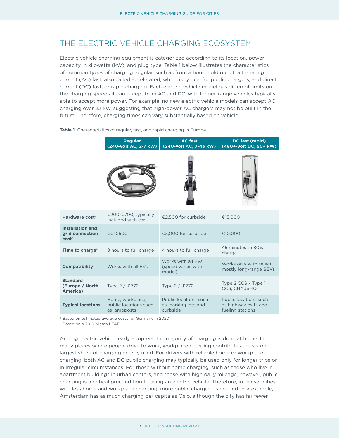## <span id="page-5-0"></span>THE FLECTRIC VEHICLE CHARGING ECOSYSTEM

Electric vehicle charging equipment is categorized according to its location, power capacity in kilowatts (kW), and plug type. Table 1 below illustrates the characteristics of common types of charging: regular, such as from a household outlet; alternating current (AC) fast, also called accelerated, which is typical for public chargers; and direct current (DC) fast, or rapid charging. Each electric vehicle model has different limits on the charging speeds it can accept from AC and DC, with longer-range vehicles typically able to accept more power. For example, no new electric vehicle models can accept AC charging over 22 kW, suggesting that high-power AC chargers may not be built in the future. Therefore, charging times can vary substantially based on vehicle.

|                                                                 | <b>Regular</b><br>(240-volt AC, 2-7 kW)                   | <b>AC</b> fast<br>(240-volt AC, 7-43 kW)                 | DC fast (rapid)<br>(480+-volt DC, 50+ kW)                         |  |
|-----------------------------------------------------------------|-----------------------------------------------------------|----------------------------------------------------------|-------------------------------------------------------------------|--|
|                                                                 |                                                           |                                                          |                                                                   |  |
| Hardware cost <sup>a</sup>                                      | €200-€700, typically<br>included with car                 | €2,500 for curbside                                      | €15,000                                                           |  |
| <b>Installation and</b><br>grid connection<br>cost <sup>a</sup> | €0-€500                                                   | €5,000 for curbside                                      | €10,000                                                           |  |
| Time to charge $b$                                              | 8 hours to full charge                                    | 4 hours to full charge                                   | 45 minutes to 80%<br>charge                                       |  |
| <b>Compatibility</b>                                            | Works with all EVs                                        | Works with all EVs<br>(speed varies with<br>model)       | Works only with select<br>mostly long-range BEVs                  |  |
| <b>Standard</b><br>(Europe / North<br><b>America</b> )          | Type 2 / J1772                                            | Type 2 / J1772                                           | Type 2 CCS / Type 1<br><b>CCS, CHAdeMO</b>                        |  |
| <b>Typical locations</b>                                        | Home, workplace,<br>public locations such<br>as lampposts | Public locations such<br>as parking lots and<br>curbside | Public locations such<br>as highway exits and<br>fueling stations |  |

Table 1. Characteristics of regular, fast, and rapid charging in Europe.

a Based on estimated average costs for Germany in 2020

**b** Based on a 2019 Nissan LEAF

Among electric vehicle early adopters, the majority of charging is done at home. In many places where people drive to work, workplace charging contributes the secondlargest share of charging energy used. For drivers with reliable home or workplace charging, both AC and DC public charging may typically be used only for longer trips or in irregular circumstances. For those without home charging, such as those who live in apartment buildings in urban centers, and those with high daily mileage, however, public charging is a critical precondition to using an electric vehicle. Therefore, in denser cities with less home and workplace charging, more public charging is needed. For example, Amsterdam has as much charging per capita as Oslo, although the city has far fewer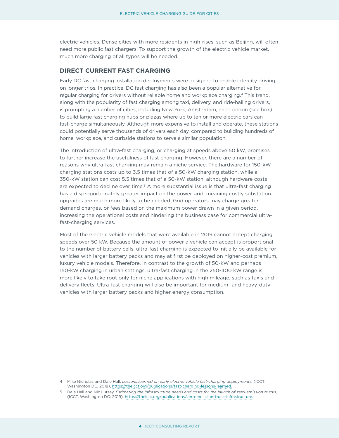<span id="page-6-0"></span>electric vehicles. Dense cities with more residents in high-rises, such as Beijing, will often need more public fast chargers. To support the growth of the electric vehicle market, much more charging of all types will be needed.

#### **DIRECT CURRENT FAST CHARGING**

Early DC fast charging installation deployments were designed to enable intercity driving on longer trips. In practice, DC fast charging has also been a popular alternative for regular charging for drivers without reliable home and workplace charging.<sup>4</sup> This trend, along with the popularity of fast charging among taxi, delivery, and ride-hailing drivers, is prompting a number of cities, including New York, Amsterdam, and London (see box) to build large fast charging hubs or plazas where up to ten or more electric cars can fast-charge simultaneously. Although more expensive to install and operate, these stations could potentially serve thousands of drivers each day, compared to building hundreds of home, workplace, and curbside stations to serve a similar population.

The introduction of ultra-fast charging, or charging at speeds above 50 kW, promises to further increase the usefulness of fast charging. However, there are a number of reasons why ultra-fast charging may remain a niche service. The hardware for 150-kW charging stations costs up to 3.5 times that of a 50-kW charging station, while a 350-kW station can cost 5.5 times that of a 50-kW station, although hardware costs are expected to decline over time.<sup>5</sup> A more substantial issue is that ultra-fast charging has a disproportionately greater impact on the power grid, meaning costly substation upgrades are much more likely to be needed. Grid operators may charge greater demand charges, or fees based on the maximum power drawn in a given period, increasing the operational costs and hindering the business case for commercial ultrafast-charging services.

Most of the electric vehicle models that were available in 2019 cannot accept charging speeds over 50 kW. Because the amount of power a vehicle can accept is proportional to the number of battery cells, ultra-fast charging is expected to initially be available for vehicles with larger battery packs and may at first be deployed on higher-cost premium, luxury vehicle models. Therefore, in contrast to the growth of 50-kW and perhaps 150-kW charging in urban settings, ultra-fast charging in the 250-400 kW range is more likely to take root only for niche applications with high mileage, such as taxis and delivery fleets. Ultra-fast charging will also be important for medium- and heavy-duty vehicles with larger battery packs and higher energy consumption.

<sup>4</sup> Mike Nicholas and Dale Hall, *Lessons learned on early electric vehicle fast-charging deployments,* (ICCT: Washington DC, 2018),<https://theicct.org/publications/fast-charging-lessons-learned>.

<sup>5</sup> Dale Hall and Nic Lutsey, *Estimating the infrastructure needs and costs for the launch of zero-emission trucks,* (ICCT, Washington DC: 2019), [https://theicct.org/publications/zero-emission-truck-infrastructure.](https://theicct.org/publications/zero-emission-truck-infrastructure)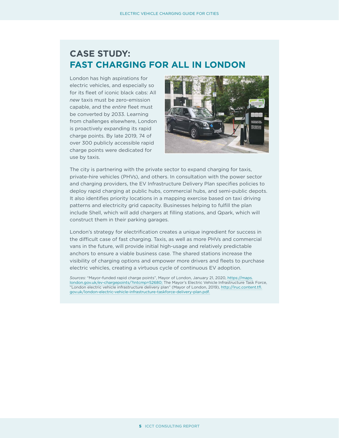# <span id="page-7-0"></span>**CASE STUDY: FAST CHARGING FOR ALL IN LONDON**

London has high aspirations for electric vehicles, and especially so for its fleet of iconic black cabs: All *new* taxis must be zero-emission capable, and the *entire* fleet must be converted by 2033. Learning from challenges elsewhere, London is proactively expanding its rapid charge points. By late 2019, 74 of over 300 publicly accessible rapid charge points were dedicated for use by taxis.



The city is partnering with the private sector to expand charging for taxis, private-hire vehicles (PHVs), and others. In consultation with the power sector and charging providers, the EV Infrastructure Delivery Plan specifies policies to deploy rapid charging at public hubs, commercial hubs, and semi-public depots. It also identifies priority locations in a mapping exercise based on taxi driving patterns and electricity grid capacity. Businesses helping to fulfill the plan include Shell, which will add chargers at filling stations, and Qpark, which will construct them in their parking garages.

London's strategy for electrification creates a unique ingredient for success in the difficult case of fast charging. Taxis, as well as more PHVs and commercial vans in the future, will provide initial high-usage and relatively predictable anchors to ensure a viable business case. The shared stations increase the visibility of charging options and empower more drivers and fleets to purchase electric vehicles, creating a virtuous cycle of continuous EV adoption.

*Sources:* "Mayor-funded rapid charge points", Mayor of London, January 21, 2020, [https://maps.](https://maps.london.gov.uk/ev-chargepoints/?intcmp=52680) [london.gov.uk/ev-chargepoints/?intcmp=52680;](https://maps.london.gov.uk/ev-chargepoints/?intcmp=52680) The Mayor's Electric Vehicle Infrastructure Task Force, "London electric vehicle infrastructure delivery plan" (Mayor of London, 2019), [http://lruc.content.tfl.](http://lruc.content.tfl.gov.uk/london-electric-vehicle-infrastructure-taskforce-delivery-plan.pdf) [gov.uk/london-electric-vehicle-infrastructure-taskforce-delivery-plan.pdf](http://lruc.content.tfl.gov.uk/london-electric-vehicle-infrastructure-taskforce-delivery-plan.pdf).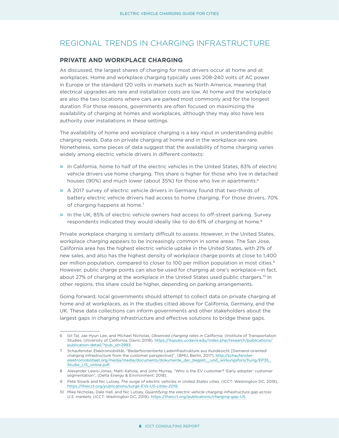## <span id="page-8-0"></span>REGIONAL TRENDS IN CHARGING INFRASTRUCTURE

#### **PRIVATE AND WORKPLACE CHARGING**

As discussed, the largest shares of charging for most drivers occur at home and at workplaces. Home and workplace charging typically uses 208-240 volts of AC power in Europe or the standard 120 volts in markets such as North America, meaning that electrical upgrades are rare and installation costs are low. At home and the workplace are also the two locations where cars are parked most commonly and for the longest duration. For those reasons, governments are often focused on maximizing the availability of charging at homes and workplaces, although they may also have less authority over installations in these settings.

The availability of home and workplace charging is a key input in understanding public charging needs. Data on private charging at home and in the workplace are rare. Nonetheless, some pieces of data suggest that the availability of home charging varies widely among electric vehicle drivers in different contexts:

- » In California, home to half of the electric vehicles in the United States, 83% of electric vehicle drivers use home charging. This share is higher for those who live in detached houses (90%) and much lower (about 35%) for those who live in apartments.<sup>6</sup>
- » A 2017 survey of electric vehicle drivers in Germany found that two-thirds of battery electric vehicle drivers had access to home charging. For those drivers, 70% of charging happens at home.<sup>7</sup>
- » In the UK, 85% of electric vehicle owners had access to off-street parking. Survey respondents indicated they would ideally like to do 61% of charging at home.<sup>8</sup>

Private workplace charging is similarly difficult to assess. However, in the United States, workplace charging appears to be increasingly common in some areas. The San Jose, California area has the highest electric vehicle uptake in the United States, with 21% of new sales, and also has the highest density of workplace charge points at close to 1,400 per million population, compared to closer to 100 per million population in most cities.<sup>9</sup> However, public charge points can also be used for charging at one's workplace—in fact, about 27% of charging at the workplace in the United States used public chargers.<sup>10</sup> In other regions, this share could be higher, depending on parking arrangements.

Going forward, local governments should attempt to collect data on private charging at home and at workplaces, as in the studies citied above for California, Germany, and the UK. These data collections can inform governments and other stakeholders about the largest gaps in charging infrastructure and effective solutions to bridge these gaps.

<sup>6</sup> Gil Tal, Jae Hyun Lee, and Michael Nicholas, *Observed charging rates in California,* (Institute of Transportation Studies, University of California, Davis: 2018), [https://itspubs.ucdavis.edu/index.php/research/publications/](https://itspubs.ucdavis.edu/index.php/research/publications/publication-detail/?pub_id=2993) [publication-detail/?pub\\_id=2993.](https://itspubs.ucdavis.edu/index.php/research/publications/publication-detail/?pub_id=2993)

<sup>7</sup> Schaufenster Elektromobilität, "Bedarfsorientierte Ladeinfrastrukture aus Kundesicht [Demand-oriented charging infrastructure from the customer perspective]", (BMU, Berlin, 2017), [http://schaufenster](http://schaufenster-elektromobilitaet.org/media/media/documents/dokumente_der_begleit__und_wirkungsforschung/EP35_Studie_LIS_online.pdf)[elektromobilitaet.org/media/media/documents/dokumente\\_der\\_begleit\\_\\_und\\_wirkungsforschung/EP35\\_](http://schaufenster-elektromobilitaet.org/media/media/documents/dokumente_der_begleit__und_wirkungsforschung/EP35_Studie_LIS_online.pdf) [Studie\\_LIS\\_online.pdf](http://schaufenster-elektromobilitaet.org/media/media/documents/dokumente_der_begleit__und_wirkungsforschung/EP35_Studie_LIS_online.pdf).

<sup>8</sup> Alexander Lewis-Jones, Matti Kahola, and John Murray, "Who is the EV customer? 'Early adopter' customer segmentation", (Delta Energy & Environment: 2018).

<sup>9</sup> Pete Slowik and Nic Lutsey, *The surge of electric vehicles in United States cities,* (ICCT: Washington DC, 2019), [https://theicct.org/publications/surge-EVs-US-cities-2019.](https://theicct.org/publications/surge-EVs-US-cities-2019)

<sup>10</sup> Mike Nicholas, Dale Hall, and Nic Lutsey, *Quantifying the electric vehicle charging infrastructure gap across U.S. markets,* (ICCT: Washington DC, 2019), <https://theicct.org/publications/charging-gap-US>.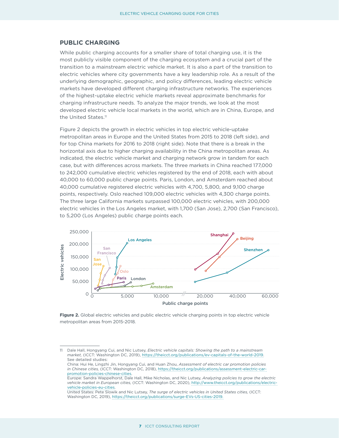#### <span id="page-9-0"></span>**PUBLIC CHARGING**

While public charging accounts for a smaller share of total charging use, it is the most publicly visible component of the charging ecosystem and a crucial part of the transition to a mainstream electric vehicle market. It is also a part of the transition to electric vehicles where city governments have a key leadership role. As a result of the underlying demographic, geographic, and policy differences, leading electric vehicle markets have developed different charging infrastructure networks. The experiences of the highest-uptake electric vehicle markets reveal approximate benchmarks for charging infrastructure needs. To analyze the major trends, we look at the most developed electric vehicle local markets in the world, which are in China, Europe, and the United States.11

Figure 2 depicts the growth in electric vehicles in top electric vehicle-uptake metropolitan areas in Europe and the United States from 2015 to 2018 (left side), and for top China markets for 2016 to 2018 (right side). Note that there is a break in the horizontal axis due to higher charging availability in the China metropolitan areas. As indicated, the electric vehicle market and charging network grow in tandem for each case, but with differences across markets. The three markets in China reached 177,000 to 242,000 cumulative electric vehicles registered by the end of 2018, each with about 40,000 to 60,000 public charge points. Paris, London, and Amsterdam reached about 40,000 cumulative registered electric vehicles with 4,700, 5,800, and 9,100 charge points, respectively. Oslo reached 109,000 electric vehicles with 4,300 charge points. The three large California markets surpassed 100,000 electric vehicles, with 200,000 electric vehicles in the Los Angeles market, with 1,700 (San Jose), 2,700 (San Francisco), to 5,200 (Los Angeles) public charge points each.



Figure 2. Global electric vehicles and public electric vehicle charging points in top electric vehicle metropolitan areas from 2015-2018.

<sup>11</sup> Dale Hall, Hongyang Cui, and Nic Lutsey, *Electric vehicle capitals: Showing the path to a mainstream market,* (ICCT: Washington DC, 2019), <https://theicct.org/publications/ev-capitals-of-the-world-2019>. See detailed studies:

China: Hui He, Lingzhi Jin, Hongyang Cui, and Huan Zhou, *Assessment of electric car promotion policies in Chinese cities,* (ICCT: Washington DC, 2018), [https://theicct.org/publications/assessment-electric-car](https://theicct.org/publications/assessment-electric-car-promotion-policies-chinese-cities)[promotion-policies-chinese-cities](https://theicct.org/publications/assessment-electric-car-promotion-policies-chinese-cities).

Europe: Sandra Wappelhorst, Dale Hall, Mike Nicholas, and Nic Lutsey, *Analyzing policies to grow the electric vehicle market in European cities,* (ICCT: Washington DC, 2020), [http://www.theicct.org/publications/electric](http://www.theicct.org/publications/electric-vehicle-policies-eu-cities)[vehicle-policies-eu-cities](http://www.theicct.org/publications/electric-vehicle-policies-eu-cities).

United States: Pete Slowik and Nic Lutsey, *The surge of electric vehicles in United States cities,* (ICCT: Washington DC, 2019), [https://theicct.org/publications/surge-EVs-US-cities-2019.](https://theicct.org/publications/surge-EVs-US-cities-2019)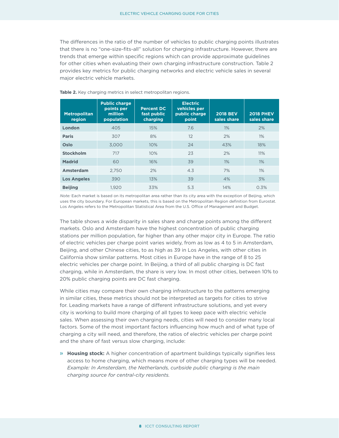The differences in the ratio of the number of vehicles to public charging points illustrates that there is no "one-size-fits-all" solution for charging infrastructure. However, there are trends that emerge within specific regions which can provide approximate guidelines for other cities when evaluating their own charging infrastructure construction. Table 2 provides key metrics for public charging networks and electric vehicle sales in several major electric vehicle markets.

| <b>Metropolitan</b><br>region | <b>Public charge</b><br>points per<br>million<br>population | <b>Percent DC</b><br>fast public<br>charging | <b>Electric</b><br>vehicles per<br>public charge<br>point | <b>2018 BEV</b><br>sales share | <b>2018 PHEV</b><br>sales share |
|-------------------------------|-------------------------------------------------------------|----------------------------------------------|-----------------------------------------------------------|--------------------------------|---------------------------------|
| London                        | 405                                                         | 15%                                          | 7.6                                                       | 1%                             | 2%                              |
| <b>Paris</b>                  | 307                                                         | 8%                                           | 12                                                        | 2%                             | 1%                              |
| Oslo                          | 3.000                                                       | 10%                                          | 24                                                        | 43%                            | 18%                             |
| <b>Stockholm</b>              | 717                                                         | 10%                                          | 23                                                        | 2%                             | 11%                             |
| <b>Madrid</b>                 | 60                                                          | 16%                                          | 39                                                        | 1%                             | 1%                              |
| Amsterdam                     | 2.750                                                       | 2%                                           | 4.3                                                       | 7%                             | 1%                              |
| <b>Los Angeles</b>            | 390                                                         | 13%                                          | 39                                                        | 4%                             | 3%                              |
| <b>Beijing</b>                | 1.920                                                       | 33%                                          | 5.3                                                       | 14%                            | 0.3%                            |

**Table 2.** Key charging metrics in select metropolitan regions.

*Note:* Each market is based on its metropolitan area rather than its city area with the exception of Beijing, which uses the city boundary. For European markets, this is based on the Metropolitan Region definition from Eurostat. Los Angeles refers to the Metropolitan Statistical Area from the U.S. Office of Management and Budget.

The table shows a wide disparity in sales share and charge points among the different markets. Oslo and Amsterdam have the highest concentration of public charging stations per million population, far higher than any other major city in Europe. The ratio of electric vehicles per charge point varies widely, from as low as 4 to 5 in Amsterdam, Beijing, and other Chinese cities, to as high as 39 in Los Angeles, with other cities in California show similar patterns. Most cities in Europe have in the range of 8 to 25 electric vehicles per charge point. In Beijing, a third of all public charging is DC fast charging, while in Amsterdam, the share is very low. In most other cities, between 10% to 20% public charging points are DC fast charging.

While cities may compare their own charging infrastructure to the patterns emerging in similar cities, these metrics should not be interpreted as targets for cities to strive for. Leading markets have a range of different infrastructure solutions, and yet every city is working to build more charging of all types to keep pace with electric vehicle sales. When assessing their own charging needs, cities will need to consider many local factors. Some of the most important factors influencing how much and of what type of charging a city will need, and therefore, the ratios of electric vehicles per charge point and the share of fast versus slow charging, include:

» **Housing stock:** A higher concentration of apartment buildings typically signifies less access to home charging, which means more of other charging types will be needed. *Example: In Amsterdam, the Netherlands, curbside public charging is the main charging source for central-city residents.*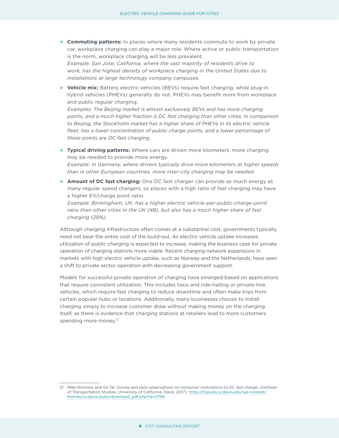» **Commuting patterns:** In places where many residents commute to work by private car, workplace charging can play a major role. Where active or public transportation is the norm, workplace charging will be less prevalent.

*Example: San Jose, California, where the vast majority of residents drive to work, has the highest density of workplace charging in the United States due to installations at large technology company campuses.*

» **Vehicle mix:** Battery electric vehicles (BEVs) require fast charging, while plug-in hybrid vehicles (PHEVs) generally do not. PHEVs may benefit more from workplace and public regular charging.

*Examples: The Beijing market is almost exclusively BEVs and has more charging points, and a much higher fraction is DC fast charging than other cities. In comparison to Beijing, the Stockholm market has a higher share of PHEVs in its electric vehicle*  fleet, has a lower concentration of public charge points, and a lower percentage of *these points are DC fast charging.*

» **Typical driving patterns:** Where cars are driven more kilometers, more charging may be needed to provide more energy.

*Example: In Germany, where drivers typically drive more kilometers at higher speeds than in other European countries, more inter-city charging may be needed.*

» **Amount of DC fast charging:** One DC fast charger can provide as much energy as many regular speed chargers, so places with a high ratio of fast charging may have a higher EV/charge point ratio.

*Example: Birmingham, UK, has a higher electric vehicle-per-public-charge-point ratio than other cities in the UK (48), but also has a much higher share of fast charging (29%).*

Although charging infrastructure often comes at a substantial cost, governments typically need not bear the entire cost of the build-out. As electric vehicle uptake increases, utilization of public charging is expected to increase, making the business case for private operation of charging stations more viable. Recent charging network expansions in markets with high electric vehicle uptake, such as Norway and the Netherlands, have seen a shift to private sector operation with decreasing government support.

Models for successful private operation of charging have emerged based on applications that require consistent utilization. This includes taxis and ride-hailing or private-hire vehicles, which require fast charging to reduce downtime and often make trips from certain popular hubs or locations. Additionally, many businesses choose to install charging simply to increase customer draw without making money on the charging itself, as there is evidence that charging stations at retailers lead to more customers spending more money.<sup>12</sup>

<sup>12</sup> Mike Nicholas and Gil Tal, *Survey and data observations on consumer motivations to DC fast charge,* (Institute of Transportation Studies: University of California, Davis, 2017), [https://itspubs.ucdavis.edu/wp-content/](https://itspubs.ucdavis.edu/wp-content/themes/ucdavis/pubs/download_pdf.php?id=2799.) [themes/ucdavis/pubs/download\\_pdf.php?id=2799.](https://itspubs.ucdavis.edu/wp-content/themes/ucdavis/pubs/download_pdf.php?id=2799.)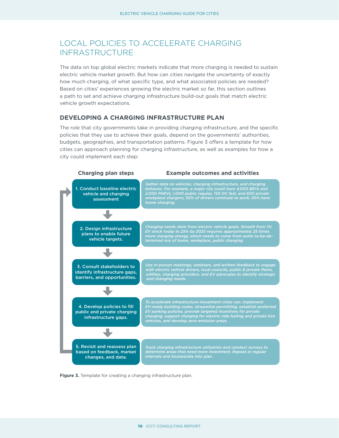## <span id="page-12-0"></span>LOCAL POLICIES TO ACCELERATE CHARGING INFRASTRUCTURE

The data on top global electric markets indicate that more charging is needed to sustain electric vehicle market growth. But how can cities navigate the uncertainty of exactly how much charging, of what specific type, and what associated policies are needed? Based on cities' experiences growing the electric market so far, this section outlines a path to set and achieve charging infrastructure build-out goals that match electric vehicle growth expectations.

#### **DEVELOPING A CHARGING INFRASTRUCTURE PLAN**

The role that city governments take in providing charging infrastructure, and the specific policies that they use to achieve their goals, depend on the governments' authorities, budgets, geographies, and transportation patterns. Figure 3 offers a template for how cities can approach planning for charging infrastructure, as well as examples for how a city could implement each step:



**Figure 3.** Template for creating a charging infrastructure plan.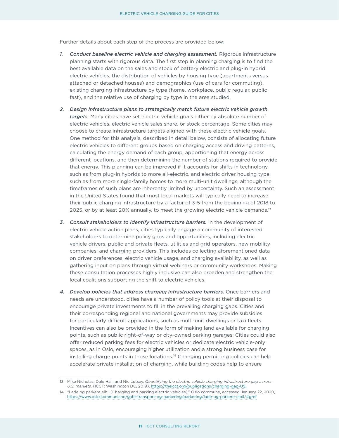Further details about each step of the process are provided below:

- *1. Conduct baseline electric vehicle and charging assessment.* Rigorous infrastructure planning starts with rigorous data. The first step in planning charging is to find the best available data on the sales and stock of battery electric and plug-in hybrid electric vehicles, the distribution of vehicles by housing type (apartments versus attached or detached houses) and demographics (use of cars for commuting), existing charging infrastructure by type (home, workplace, public regular, public fast), and the relative use of charging by type in the area studied.
- *2. Design infrastructure plans to strategically match future electric vehicle growth targets.* Many cities have set electric vehicle goals either by absolute number of electric vehicles, electric vehicle sales share, or stock percentage. Some cities may choose to create infrastructure targets aligned with these electric vehicle goals. One method for this analysis, described in detail below, consists of allocating future electric vehicles to different groups based on charging access and driving patterns, calculating the energy demand of each group, apportioning that energy across different locations, and then determining the number of stations required to provide that energy. This planning can be improved if it accounts for shifts in technology, such as from plug-in hybrids to more all-electric, and electric driver housing type, such as from more single-family homes to more multi-unit dwellings, although the timeframes of such plans are inherently limited by uncertainty. Such an assessment in the United States found that most local markets will typically need to increase their public charging infrastructure by a factor of 3-5 from the beginning of 2018 to 2025, or by at least 20% annually, to meet the growing electric vehicle demands.<sup>13</sup>
- *3. Consult stakeholders to identify infrastructure barriers.* In the development of electric vehicle action plans, cities typically engage a community of interested stakeholders to determine policy gaps and opportunities, including electric vehicle drivers, public and private fleets, utilities and grid operators, new mobility companies, and charging providers. This includes collecting aforementioned data on driver preferences, electric vehicle usage, and charging availability, as well as gathering input on plans through virtual webinars or community workshops. Making these consultation processes highly inclusive can also broaden and strengthen the local coalitions supporting the shift to electric vehicles.
- *4. Develop policies that address charging infrastructure barriers.* Once barriers and needs are understood, cities have a number of policy tools at their disposal to encourage private investments to fill in the prevailing charging gaps. Cities and their corresponding regional and national governments may provide subsidies for particularly difficult applications, such as multi-unit dwellings or taxi fleets. Incentives can also be provided in the form of making land available for charging points, such as public right-of-way or city-owned parking garages. Cities could also offer reduced parking fees for electric vehicles or dedicate electric vehicle-only spaces, as in Oslo, encouraging higher utilization and a strong business case for installing charge points in those locations.14 Changing permitting policies can help accelerate private installation of charging, while building codes help to ensure

<sup>13</sup> Mike Nicholas, Dale Hall, and Nic Lutsey, *Quantifying the electric vehicle charging infrastructure gap across U.S. markets,* (ICCT: Washington DC, 2019), <https://theicct.org/publications/charging-gap-US>.

<sup>14</sup> "Lade og parkere elbil [Charging and parking electric vehicles]," Oslo commune, accessed January 22, 2020, <https://www.oslo.kommune.no/gate-transport-og-parkering/parkering/lade-og-parkere-elbil/#gref>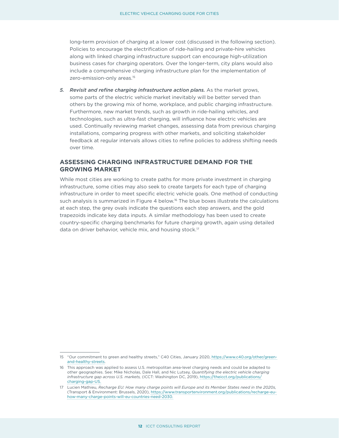<span id="page-14-0"></span>long-term provision of charging at a lower cost (discussed in the following section). Policies to encourage the electrification of ride-hailing and private-hire vehicles along with linked charging infrastructure support can encourage high-utilization business cases for charging operators. Over the longer-term, city plans would also include a comprehensive charging infrastructure plan for the implementation of zero-emission-only areas.15

*5. Revisit and refine charging infrastructure action plans.* As the market grows, some parts of the electric vehicle market inevitably will be better served than others by the growing mix of home, workplace, and public charging infrastructure. Furthermore, new market trends, such as growth in ride-hailing vehicles, and technologies, such as ultra-fast charging, will influence how electric vehicles are used. Continually reviewing market changes, assessing data from previous charging installations, comparing progress with other markets, and soliciting stakeholder feedback at regular intervals allows cities to refine policies to address shifting needs over time.

#### **ASSESSING CHARGING INFRASTRUCTURE DEMAND FOR THE GROWING MARKET**

While most cities are working to create paths for more private investment in charging infrastructure, some cities may also seek to create targets for each type of charging infrastructure in order to meet specific electric vehicle goals. One method of conducting such analysis is summarized in Figure 4 below.<sup>16</sup> The blue boxes illustrate the calculations at each step, the grey ovals indicate the questions each step answers, and the gold trapezoids indicate key data inputs. A similar methodology has been used to create country-specific charging benchmarks for future charging growth, again using detailed data on driver behavior, vehicle mix, and housing stock.<sup>17</sup>

<sup>15</sup> "Our commitment to green and healthy streets," C40 Cities, January 2020, [https://www.c40.org/other/green](https://www.c40.org/other/green-and-healthy-streets)[and-healthy-streets](https://www.c40.org/other/green-and-healthy-streets).

<sup>16</sup> This approach was applied to assess U.S. metropolitan area-level charging needs and could be adapted to other geographies. See: Mike Nicholas, Dale Hall, and Nic Lutsey, *Quantifying the electric vehicle charging infrastructure gap across U.S. markets,* (ICCT: Washington DC, 2019), [https://theicct.org/publications/](https://theicct.org/publications/charging-gap-US) [charging-gap-US.](https://theicct.org/publications/charging-gap-US)

<sup>17</sup> Lucien Mathieu, *Recharge EU: How many charge points will Europe and its Member States need in the 2020s,* (Transport & Environment: Brussels, 2020), [https://www.transportenvironment.org/publications/recharge-eu](https://www.transportenvironment.org/publications/recharge-eu-how-many-charge-points-will-eu-countries-need-2030)[how-many-charge-points-will-eu-countries-need-2030](https://www.transportenvironment.org/publications/recharge-eu-how-many-charge-points-will-eu-countries-need-2030).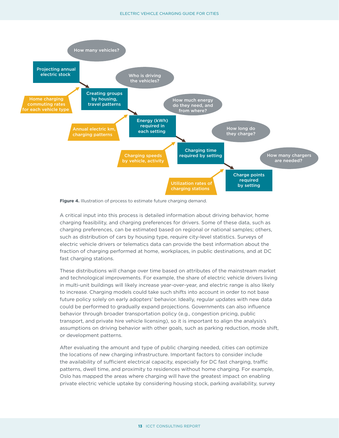

**Figure 4.** Illustration of process to estimate future charging demand.

A critical input into this process is detailed information about driving behavior, home charging feasibility, and charging preferences for drivers. Some of these data, such as charging preferences, can be estimated based on regional or national samples; others, such as distribution of cars by housing type, require city-level statistics. Surveys of electric vehicle drivers or telematics data can provide the best information about the fraction of charging performed at home, workplaces, in public destinations, and at DC fast charging stations.

These distributions will change over time based on attributes of the mainstream market and technological improvements. For example, the share of electric vehicle drivers living in multi-unit buildings will likely increase year-over-year, and electric range is also likely to increase. Charging models could take such shifts into account in order to not base future policy solely on early adopters' behavior. Ideally, regular updates with new data could be performed to gradually expand projections. Governments can also influence behavior through broader transportation policy (e.g., congestion pricing, public transport, and private hire vehicle licensing), so it is important to align the analysis's assumptions on driving behavior with other goals, such as parking reduction, mode shift, or development patterns.

After evaluating the amount and type of public charging needed, cities can optimize the locations of new charging infrastructure. Important factors to consider include the availability of sufficient electrical capacity, especially for DC fast charging, traffic patterns, dwell time, and proximity to residences without home charging. For example, Oslo has mapped the areas where charging will have the greatest impact on enabling private electric vehicle uptake by considering housing stock, parking availability, survey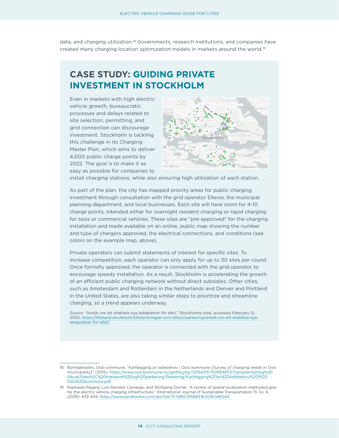<span id="page-16-0"></span>data, and charging utilization.<sup>18</sup> Governments, research institutions, and companies have created many charging location optimization models in markets around the world.<sup>19</sup>

# **CASE STUDY: GUIDING PRIVATE INVESTMENT IN STOCKHOLM**

Even in markets with high electric vehicle growth, bureaucratic processes and delays related to site selection, permitting, and grid connection can discourage investment. Stockholm is tackling this challenge in its Charging Master Plan, which aims to deliver 4,000 public charge points by 2022. The goal is to make it as easy as possible for companies to



install charging stations, while also ensuring high utilization of each station.

As part of the plan, the city has mapped priority areas for public charging investment through consultation with the grid operator Ellevio, the municipal planning department, and local businesses. Each site will have room for 4-10 charge points, intended either for overnight resident charging or rapid charging for taxis or commercial vehicles. These sites are "pre-approved" for the charging installation and made available on an online, public map showing the number and type of chargers approved, the electrical connections, and conditions (see colors on the example map, above).

Private operators can submit statements of interest for specific sites. To increase competition, each operator can only apply for up to 30 sites per round. Once formally approved, the operator is connected with the grid operator to encourage speedy installation. As a result, Stockholm is accelerating the growth of an efficient public charging network without direct subsidies. Other cities, such as Amsterdam and Rotterdam in the Netherlands and Denver and Portland in the United States, are also taking similar steps to prioritize and streamline charging, so a trend appears underway.

*Source:* "Ansök om att etablera nya laddplatser för elbil," Stockholms stad, accessed February 12, 2020, [https://tillstand.stockholm/tillstand-regler-och-tillsyn/parkering/ansok-om-att-etablera-nya](https://tillstand.stockholm/tillstand-regler-och-tillsyn/parkering/ansok-om-att-etablera-nya-laddplatser-for-elbil/)[laddplatser-for-elbil/](https://tillstand.stockholm/tillstand-regler-och-tillsyn/parkering/ansok-om-att-etablera-nya-laddplatser-for-elbil/)

<sup>18</sup> Bymiljøetaten, Oslo commune, "Kartlegging av ladebehov i Oslo kommune [Survey of charging needs in Oslo municipality]" (2019), [https://www.oslo.kommune.no/getfile.php/13354701-1576848117/Tjenester%20og%20](https://www.oslo.kommune.no/getfile.php/13354701-1576848117/Tjenester og tilbud/Gate%2C transport og parkering/Parkering/Kartlegging av ladebehov i Oslo kommune.pdf) [tilbud/Gate%2C%20transport%20og%20parkering/Parkering/Kartlegging%20av%20ladebehov%20i%20](https://www.oslo.kommune.no/getfile.php/13354701-1576848117/Tjenester og tilbud/Gate%2C transport og parkering/Parkering/Kartlegging av ladebehov i Oslo kommune.pdf) [Oslo%20kommune.pdf.](https://www.oslo.kommune.no/getfile.php/13354701-1576848117/Tjenester og tilbud/Gate%2C transport og parkering/Parkering/Kartlegging av ladebehov i Oslo kommune.pdf)

<sup>19</sup> Raphaela Pagany, Luis Ramirez Camargo, and Wolfgang Dorner. "A review of spatial localization methodologies for the electric vehicle charging infrastructure." International Journal of Sustainable Transportation 13, no. 6, (2019): 433-449. [https://www.tandfonline.com/doi/full/10.1080/15568318.2018.1481243.](https://www.tandfonline.com/doi/full/10.1080/15568318.2018.1481243)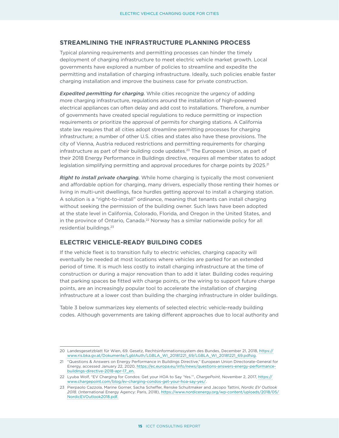#### <span id="page-17-0"></span>**STREAMLINING THE INFRASTRUCTURE PLANNING PROCESS**

Typical planning requirements and permitting processes can hinder the timely deployment of charging infrastructure to meet electric vehicle market growth. Local governments have explored a number of policies to streamline and expedite the permitting and installation of charging infrastructure. Ideally, such policies enable faster charging installation and improve the business case for private construction.

*Expedited permitting for charging.* While cities recognize the urgency of adding more charging infrastructure, regulations around the installation of high-powered electrical appliances can often delay and add cost to installations. Therefore, a number of governments have created special regulations to reduce permitting or inspection requirements or prioritize the approval of permits for charging stations. A California state law requires that all cities adopt streamline permitting processes for charging infrastructure; a number of other U.S. cities and states also have these provisions. The city of Vienna, Austria reduced restrictions and permitting requirements for charging infrastructure as part of their building code updates.<sup>20</sup> The European Union, as part of their 2018 Energy Performance in Buildings directive, requires all member states to adopt legislation simplifying permitting and approval procedures for charge points by 2025.<sup>21</sup>

*Right to install private charging.* While home charging is typically the most convenient and affordable option for charging, many drivers, especially those renting their homes or living in multi-unit dwellings, face hurdles getting approval to install a charging station. A solution is a "right-to-install" ordinance, meaning that tenants can install charging without seeking the permission of the building owner. Such laws have been adopted at the state level in California, Colorado, Florida, and Oregon in the United States, and in the province of Ontario, Canada.<sup>22</sup> Norway has a similar nationwide policy for all residential buildings.23

#### **ELECTRIC VEHICLE-READY BUILDING CODES**

If the vehicle fleet is to transition fully to electric vehicles, charging capacity will eventually be needed at most locations where vehicles are parked for an extended period of time. It is much less costly to install charging infrastructure at the time of construction or during a major renovation than to add it later. Building codes requiring that parking spaces be fitted with charge points, or the wiring to support future charge points, are an increasingly popular tool to accelerate the installation of charging infrastructure at a lower cost than building the charging infrastructure in older buildings.

[Table](#page-18-1) 3 below summarizes key elements of selected electric vehicle-ready building codes. Although governments are taking different approaches due to local authority and

<sup>20</sup> Landesgesetzblatt für Wien, 69. Gesetz, Rechtsinformationssystem des Bundes, December 21, 2018, [https://](https://www.ris.bka.gv.at/Dokumente/LgblAuth/LGBLA_WI_20181221_69/LGBLA_WI_20181221_69.pdfsig) [www.ris.bka.gv.at/Dokumente/LgblAuth/LGBLA\\_WI\\_20181221\\_69/LGBLA\\_WI\\_20181221\\_69.pdfsig.](https://www.ris.bka.gv.at/Dokumente/LgblAuth/LGBLA_WI_20181221_69/LGBLA_WI_20181221_69.pdfsig)

<sup>21</sup> "Questions & Answers on Energy Performance in Buildings Directive," European Union Directorate-General for Energy, accessed January 22, 2020, [https://ec.europa.eu/info/news/questions-answers-energy-performance](https://ec.europa.eu/info/news/questions-answers-energy-performance-buildings-directive-2018-apr-17_en)[buildings-directive-2018-apr-17\\_en](https://ec.europa.eu/info/news/questions-answers-energy-performance-buildings-directive-2018-apr-17_en).

<sup>22</sup> Lyuba Wolf, "EV Charging for Condos: Get your HOA to Say 'Yes.'", *ChargePoint,* November 2, 2017, [https://](https://www.chargepoint.com/blog/ev-charging-condos-get-your-hoa-say-yes/) [www.chargepoint.com/blog/ev-charging-condos-get-your-hoa-say-yes/.](https://www.chargepoint.com/blog/ev-charging-condos-get-your-hoa-say-yes/)

<sup>23</sup> Pierpaolo Cazzola, Marine Gorner, Sacha Scheffer, Renske Schuitmaker and Jacopo Tattini, *Nordic EV Outlook 2018.* (International Energy Agency: Paris, 2018), [https://www.nordicenergy.org/wp-content/uploads/2018/05/](https://www.nordicenergy.org/wp-content/uploads/2018/05/NordicEVOutlook2018.pdf) [NordicEVOutlook2018.pdf.](https://www.nordicenergy.org/wp-content/uploads/2018/05/NordicEVOutlook2018.pdf)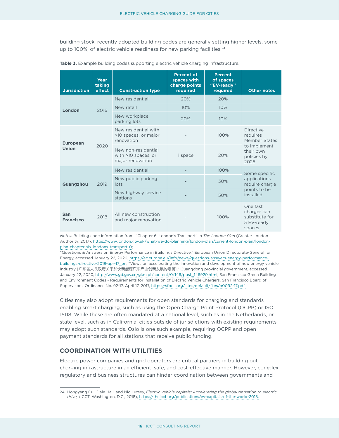<span id="page-18-0"></span>building stock, recently adopted building codes are generally setting higher levels, some up to 100%, of electric vehicle readiness for new parking facilities.<sup>24</sup>

| <b>Jurisdiction</b>             | Year<br>taking<br>effect | <b>Construction type</b>                                       | <b>Percent of</b><br>spaces with<br>charge points<br>required | <b>Percent</b><br>of spaces<br>"EV-ready"<br>required | <b>Other notes</b>                                                                                |
|---------------------------------|--------------------------|----------------------------------------------------------------|---------------------------------------------------------------|-------------------------------------------------------|---------------------------------------------------------------------------------------------------|
| London                          | 2016                     | New residential                                                | 20%                                                           | 20%                                                   |                                                                                                   |
|                                 |                          | New retail                                                     | 10%                                                           | 10%                                                   |                                                                                                   |
|                                 |                          | New workplace<br>parking lots                                  | 20%                                                           | 10%                                                   |                                                                                                   |
| <b>European</b><br><b>Union</b> | 2020                     | New residential with<br>>10 spaces, or major<br>renovation     |                                                               | 100%                                                  | <b>Directive</b><br>requires<br>Member States<br>to implement<br>their own<br>policies by<br>2025 |
|                                 |                          | New non-residential<br>with >10 spaces, or<br>major renovation | 1 space                                                       | 20%                                                   |                                                                                                   |
| <b>Guangzhou</b>                | 2019                     | New residential                                                |                                                               | 100%                                                  | Some specific<br>applications<br>require charge<br>points to be<br>installed                      |
|                                 |                          | New public parking<br>lots                                     |                                                               | 30%                                                   |                                                                                                   |
|                                 |                          | New highway service<br>stations                                |                                                               | 50%                                                   |                                                                                                   |
| San<br><b>Francisco</b>         | 2018                     | All new construction<br>and major renovation                   |                                                               | 100%                                                  | One fast<br>charger can<br>substitute for<br>5 EV-ready<br>spaces                                 |

<span id="page-18-1"></span>**Table 3.** Example building codes supporting electric vehicle charging infrastructure.

*Notes:* Building code information from: "Chapter 6: London's Transport" in *The London Plan* (Greater London Authority: 2017), [https://www.london.gov.uk/what-we-do/planning/london-plan/current-london-plan/london](https://www.london.gov.uk/what-we-do/planning/london-plan/current-london-plan/london-plan-chapter-six-londons-transport-0)[plan-chapter-six-londons-transport-0](https://www.london.gov.uk/what-we-do/planning/london-plan/current-london-plan/london-plan-chapter-six-londons-transport-0);

"Questions & Answers on Energy Performance in Buildings Directive," European Union Directorate-General for Energy, accessed January 22, 2020, [https://ec.europa.eu/info/news/questions-answers-energy-performance](https://ec.europa.eu/info/news/questions-answers-energy-performance-buildings-directive-2018-apr-17_en)[buildings-directive-2018-apr-17\\_en](https://ec.europa.eu/info/news/questions-answers-energy-performance-buildings-directive-2018-apr-17_en); "Views on accelerating the innovation and development of new energy vehicle industry [广东省人民政府关于加快新能源汽车产业创新发展的意见]," Guangdong provincial government, accessed January 22, 2020, [http://www.gd.gov.cn/gkmlpt/content/0/146/post\\_146920.html;](http://www.gd.gov.cn/gkmlpt/content/0/146/post_146920.html) San Francisco Green Building and Environment Codes - Requirements for Installation of Electric Vehicle Chargers, San Francisco Board of Supervisors, Ordinance No. 92-17, April 17, 2017, [https://sfbos.org/sites/default/files/o0092-17.pdf.](https://sfbos.org/sites/default/files/o0092-17.pdf)

Cities may also adopt requirements for open standards for charging and standards enabling smart charging, such as using the Open Charge Point Protocol (OCPP) or ISO 15118. While these are often mandated at a national level, such as in the Netherlands, or state level, such as in California, cities outside of jurisdictions with existing requirements may adopt such standards. Oslo is one such example, requiring OCPP and open payment standards for all stations that receive public funding.

#### **COORDINATION WITH UTILITIES**

Electric power companies and grid operators are critical partners in building out charging infrastructure in an efficient, safe, and cost-effective manner. However, complex regulatory and business structures can hinder coordination between governments and

<sup>24</sup> Hongyang Cui, Dale Hall, and Nic Lutsey, *Electric vehicle capitals: Accelerating the global transition to electric drive,* (ICCT: Washington, D.C., 2018), [https://theicct.org/publications/ev-capitals-of-the-world-2018.](https://theicct.org/publications/ev-capitals-of-the-world-2018)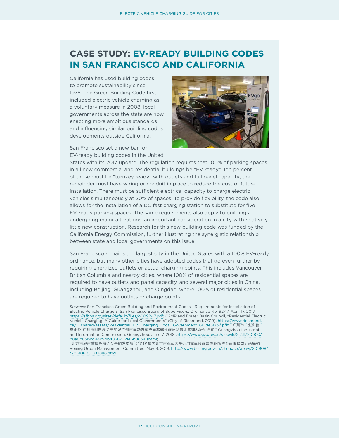# <span id="page-19-0"></span>**CASE STUDY: EV-READY BUILDING CODES IN SAN FRANCISCO AND CALIFORNIA**

California has used building codes to promote sustainability since 1978. The Green Building Code first included electric vehicle charging as a voluntary measure in 2008; local governments across the state are now enacting more ambitious standards and influencing similar building codes developments outside California.

San Francisco set a new bar for EV-ready building codes in the United



States with its 2017 update. The regulation requires that 100% of parking spaces in all new commercial and residential buildings be "EV ready." Ten percent of those must be "turnkey ready" with outlets and full panel capacity; the remainder must have wiring or conduit in place to reduce the cost of future installation. There must be sufficient electrical capacity to charge electric vehicles simultaneously at 20% of spaces. To provide flexibility, the code also allows for the installation of a DC fast charging station to substitute for five EV-ready parking spaces. The same requirements also apply to buildings undergoing major alterations, an important consideration in a city with relatively little new construction. Research for this new building code was funded by the California Energy Commission, further illustrating the synergistic relationship between state and local governments on this issue.

San Francisco remains the largest city in the United States with a 100% EV-ready ordinance, but many other cities have adopted codes that go even further by requiring energized outlets or actual charging points. This includes Vancouver, British Columbia and nearby cities, where 100% of residential spaces are required to have outlets and panel capacity, and several major cities in China, including Beijing, Guangzhou, and Qingdao, where 100% of residential spaces are required to have outlets or charge points.

*Sources:* San Francisco Green Building and Environment Codes - Requirements for Installation of Electric Vehicle Chargers, San Francisco Board of Supervisors, Ordinance No. 92-17, April 17, 2017, [https://sfbos.org/sites/default/files/o0092-17.pdf;](https://sfbos.org/sites/default/files/o0092-17.pdf) C2MP and Fraser Basin Council, "Residential Electric Vehicle Charging: A Guide for Local Governments" (City of Richmond, 2019), [https://www.richmond.](https://www.richmond.ca/__shared/assets/Residential_EV_Charging_Local_Government_Guide51732.pdf) [ca/\\_\\_shared/assets/Residential\\_EV\\_Charging\\_Local\\_Government\\_Guide51732.pdf](https://www.richmond.ca/__shared/assets/Residential_EV_Charging_Local_Government_Guide51732.pdf); "广州市工业和信 息化委 广州市财政局关于印发广州市电动汽车充电基础设施补贴资金管理办法的通知," Guangzhou Industrial and Information Commission, Guangzhou, June 7, 2018 , https://www.gz.gov.cn/gzswjk/2.2.11/201810/ [b8a0c6319fd44c9bb48587021e6b8634.shtml;](https://www.gz.gov.cn/gzswjk/2.2.11/201810/b8a0c6319fd44c9bb48587021e6b8634.shtml)

"北京市城市管理委员会关于印发实施《2019年度北京市单位内部公用充电设施建设补助资金申报指南》的通知," Beijing Urban Management Committee, May 9, 2019, [http://www.beijing.gov.cn/zhengce/gfxwj/201908/](http://www.beijing.gov.cn/zhengce/gfxwj/201908/t20190805_102886.html) [t20190805\\_102886.html](http://www.beijing.gov.cn/zhengce/gfxwj/201908/t20190805_102886.html).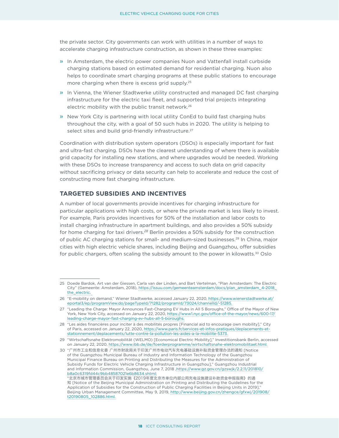<span id="page-20-0"></span>the private sector. City governments can work with utilities in a number of ways to accelerate charging infrastructure construction, as shown in these three examples:

- » In Amsterdam, the electric power companies Nuon and Vattenfall install curbside charging stations based on estimated demand for residential charging. Nuon also helps to coordinate smart charging programs at these public stations to encourage more charging when there is excess grid supply.25
- » In Vienna, the Wiener Stadtwerke utility constructed and managed DC fast charging infrastructure for the electric taxi fleet, and supported trial projects integrating electric mobility with the public transit network.26
- » New York City is partnering with local utility ConEd to build fast charging hubs throughout the city, with a goal of 50 such hubs in 2020. The utility is helping to select sites and build grid-friendly infrastructure.<sup>27</sup>

Coordination with distribution system operators (DSOs) is especially important for fast and ultra-fast charging. DSOs have the clearest understanding of where there is available grid capacity for installing new stations, and where upgrades would be needed. Working with these DSOs to increase transparency and access to such data on grid capacity without sacrificing privacy or data security can help to accelerate and reduce the cost of constructing more fast charging infrastructure.

#### **TARGETED SUBSIDIES AND INCENTIVES**

A number of local governments provide incentives for charging infrastructure for particular applications with high costs, or where the private market is less likely to invest. For example, Paris provides incentives for 50% of the installation and labor costs to install charging infrastructure in apartment buildings, and also provides a 50% subsidy for home charging for taxi drivers.*<sup>28</sup>* Berlin provides a 50% subsidy for the construction of public AC charging stations for small- and medium-sized businesses.<sup>29</sup> In China, major cities with high electric vehicle shares, including Beijing and Guangzhou, offer subsidies for public chargers, often scaling the subsidy amount to the power in kilowatts. $30$  Oslo

<sup>25</sup> Doede Bardok, Art van der Giessen, Carla van der Linden, and Bart Vertelman, "Plan Amsterdam: The Electric City" (Gemeente: Amsterdam, 2018), [https://issuu.com/gemeenteamsterdam/docs/plan\\_amsterdam\\_4-2018\\_](https://issuu.com/gemeenteamsterdam/docs/plan_amsterdam_4-2018_the_electric) [the\\_electric.](https://issuu.com/gemeenteamsterdam/docs/plan_amsterdam_4-2018_the_electric)

<sup>26</sup> "E-mobility on demand," Wiener Stadtwerke, accessed January 22, 2020, [https://www.wienerstadtwerke.at/](https://www.wienerstadtwerke.at/eportal3/ep/programView.do/pageTypeId/71282/programId/73024/channelId/-51285) [eportal3/ep/programView.do/pageTypeId/71282/programId/73024/channelId/-51285.](https://www.wienerstadtwerke.at/eportal3/ep/programView.do/pageTypeId/71282/programId/73024/channelId/-51285)

<sup>27</sup> "Leading the Charge: Mayor Announces Fast-Charging EV Hubs in All 5 Boroughs," Office of the Mayor of New York, New York City, accessed on January 22, 2020, [https://www1.nyc.gov/office-of-the-mayor/news/600-17/](https://www1.nyc.gov/office-of-the-mayor/news/600-17/leading-charge-mayor-fast-charging-ev-hubs-all-5-boroughs) [leading-charge-mayor-fast-charging-ev-hubs-all-5-boroughs.](https://www1.nyc.gov/office-of-the-mayor/news/600-17/leading-charge-mayor-fast-charging-ev-hubs-all-5-boroughs)

<sup>28</sup> "Les aides financières pour inciter à des mobilités propres [Financial aid to encourage own mobility]," City of Paris, accessed on January 22, 2020, [https://www.paris.fr/services-et-infos-pratiques/deplacements-et](https://www.paris.fr/services-et-infos-pratiques/deplacements-et-stationnement/deplacements/lutte-contre-la-pollution-les-aides-a-la-mobilite-5373)[stationnement/deplacements/lutte-contre-la-pollution-les-aides-a-la-mobilite-5373](https://www.paris.fr/services-et-infos-pratiques/deplacements-et-stationnement/deplacements/lutte-contre-la-pollution-les-aides-a-la-mobilite-5373).

<sup>29</sup> "Wirtschaftsnahe Elektromobilität (WELMO) [Economical Electric Mobility]," Investitionsbank Berlin, accessed on January 22, 2020,<https://www.ibb.de/de/foerderprogramme/wirtschaftsnahe-elektromobilitaet.html>.

<sup>30</sup> "广州市工业和信息化委 广州市财政局关于印发广州市电动汽车充电基础设施补贴资金管理办法的通知 [Notice of the Guangzhou Municipal Bureau of Industry and Information Technology of the Guangzhou Municipal Finance Bureau on Printing and Distributing the Measures for the Administration of Subsidy Funds for Electric Vehicle Charging Infrastructure in Guangzhou]," Guangzhou Industrial and Information Commission, Guangzhou, June 7, 2018 ,https://www.gz.gov.cn/gzswjk/2.2.11/201810/ b8a0c6319fd44c9bb48587021e6b8634.shtml; "北京市城市管理委员会关于印发实施《2019年度北京市单位内部公用充电设施建设补助资金申报指南》的通 知 [Notice of the Beijing Municipal Administration on Printing and Distributing the Guidelines for the Application of Subsidies for the Construction of Public Charging Facilities in Beijing Units in 2019],"

Beijing Urban Management Committee, May 9, 2019, [http://www.beijing.gov.cn/zhengce/gfxwj/201908/](http://www.beijing.gov.cn/zhengce/gfxwj/201908/t20190805_102886.html) [t20190805\\_102886.html](http://www.beijing.gov.cn/zhengce/gfxwj/201908/t20190805_102886.html).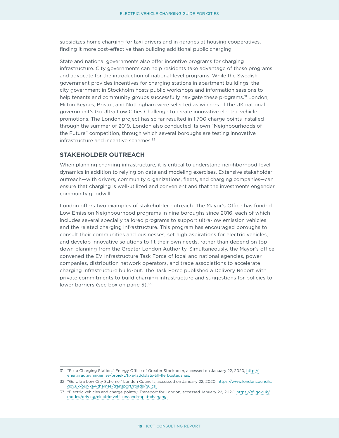<span id="page-21-0"></span>subsidizes home charging for taxi drivers and in garages at housing cooperatives, finding it more cost-effective than building additional public charging.

State and national governments also offer incentive programs for charging infrastructure. City governments can help residents take advantage of these programs and advocate for the introduction of national-level programs. While the Swedish government provides incentives for charging stations in apartment buildings, the city government in Stockholm hosts public workshops and information sessions to help tenants and community groups successfully navigate these programs.<sup>31</sup> London, Milton Keynes, Bristol, and Nottingham were selected as winners of the UK national government's Go Ultra Low Cities Challenge to create innovative electric vehicle promotions. The London project has so far resulted in 1,700 charge points installed through the summer of 2019. London also conducted its own "Neighbourhoods of the Future" competition, through which several boroughs are testing innovative infrastructure and incentive schemes.<sup>32</sup>

#### **STAKEHOLDER OUTREACH**

When planning charging infrastructure, it is critical to understand neighborhood-level dynamics in addition to relying on data and modeling exercises. Extensive stakeholder outreach—with drivers, community organizations, fleets, and charging companies—can ensure that charging is well-utilized and convenient and that the investments engender community goodwill.

London offers two examples of stakeholder outreach. The Mayor's Office has funded Low Emission Neighbourhood programs in nine boroughs since 2016, each of which includes several specially tailored programs to support ultra-low emission vehicles and the related charging infrastructure. This program has encouraged boroughs to consult their communities and businesses, set high aspirations for electric vehicles, and develop innovative solutions to fit their own needs, rather than depend on topdown planning from the Greater London Authority. Simultaneously, the Mayor's office convened the EV Infrastructure Task Force of local and national agencies, power companies, distribution network operators, and trade associations to accelerate charging infrastructure build-out. The Task Force published a Delivery Report with private commitments to build charging infrastructure and suggestions for policies to lower barriers (see box on page  $5$ ). $33$ 

<sup>31</sup> "Fix a Charging Station," Energy Office of Greater Stockholm, accessed on January 22, 2020, [http://](http://energiradgivningen.se/projekt/fixa-laddplats-till-flerbostadshus) [energiradgivningen.se/projekt/fixa-laddplats-till-flerbostadshus.](http://energiradgivningen.se/projekt/fixa-laddplats-till-flerbostadshus)

<sup>32</sup> "Go Ultra Low City Scheme," London Councils, accessed on January 22, 2020, [https://www.londoncouncils.](https://www.londoncouncils.gov.uk/our-key-themes/transport/roads/gulcs) [gov.uk/our-key-themes/transport/roads/gulcs](https://www.londoncouncils.gov.uk/our-key-themes/transport/roads/gulcs).

<sup>33</sup> "Electric vehicles and charge points," Transport for London, accessed January 22, 2020, [https://tfl.gov.uk/](https://tfl.gov.uk/modes/driving/electric-vehicles-and-rapid-charging) [modes/driving/electric-vehicles-and-rapid-charging](https://tfl.gov.uk/modes/driving/electric-vehicles-and-rapid-charging).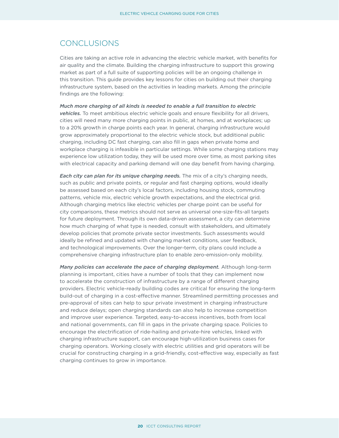### <span id="page-22-0"></span>CONCLUSIONS

Cities are taking an active role in advancing the electric vehicle market, with benefits for air quality and the climate. Building the charging infrastructure to support this growing market as part of a full suite of supporting policies will be an ongoing challenge in this transition. This guide provides key lessons for cities on building out their charging infrastructure system, based on the activities in leading markets. Among the principle findings are the following:

*Much more charging of all kinds is needed to enable a full transition to electric vehicles.* To meet ambitious electric vehicle goals and ensure flexibility for all drivers, cities will need many more charging points in public, at homes, and at workplaces; up to a 20% growth in charge points each year. In general, charging infrastructure would grow approximately proportional to the electric vehicle stock, but additional public charging, including DC fast charging, can also fill in gaps when private home and workplace charging is infeasible in particular settings. While some charging stations may experience low utilization today, they will be used more over time, as most parking sites with electrical capacity and parking demand will one day benefit from having charging.

*Each city can plan for its unique charging needs.* The mix of a city's charging needs, such as public and private points, or regular and fast charging options, would ideally be assessed based on each city's local factors, including housing stock, commuting patterns, vehicle mix, electric vehicle growth expectations, and the electrical grid. Although charging metrics like electric vehicles per charge point can be useful for city comparisons, these metrics should not serve as universal one-size-fits-all targets for future deployment. Through its own data-driven assessment, a city can determine how much charging of what type is needed, consult with stakeholders, and ultimately develop policies that promote private sector investments. Such assessments would ideally be refined and updated with changing market conditions, user feedback, and technological improvements. Over the longer-term, city plans could include a comprehensive charging infrastructure plan to enable zero-emission-only mobility.

*Many policies can accelerate the pace of charging deployment.* Although long-term planning is important, cities have a number of tools that they can implement now to accelerate the construction of infrastructure by a range of different charging providers. Electric vehicle-ready building codes are critical for ensuring the long-term build-out of charging in a cost-effective manner. Streamlined permitting processes and pre-approval of sites can help to spur private investment in charging infrastructure and reduce delays; open charging standards can also help to increase competition and improve user experience. Targeted, easy-to-access incentives, both from local and national governments, can fill in gaps in the private charging space. Policies to encourage the electrification of ride-hailing and private-hire vehicles, linked with charging infrastructure support, can encourage high-utilization business cases for charging operators. Working closely with electric utilities and grid operators will be crucial for constructing charging in a grid-friendly, cost-effective way, especially as fast charging continues to grow in importance.